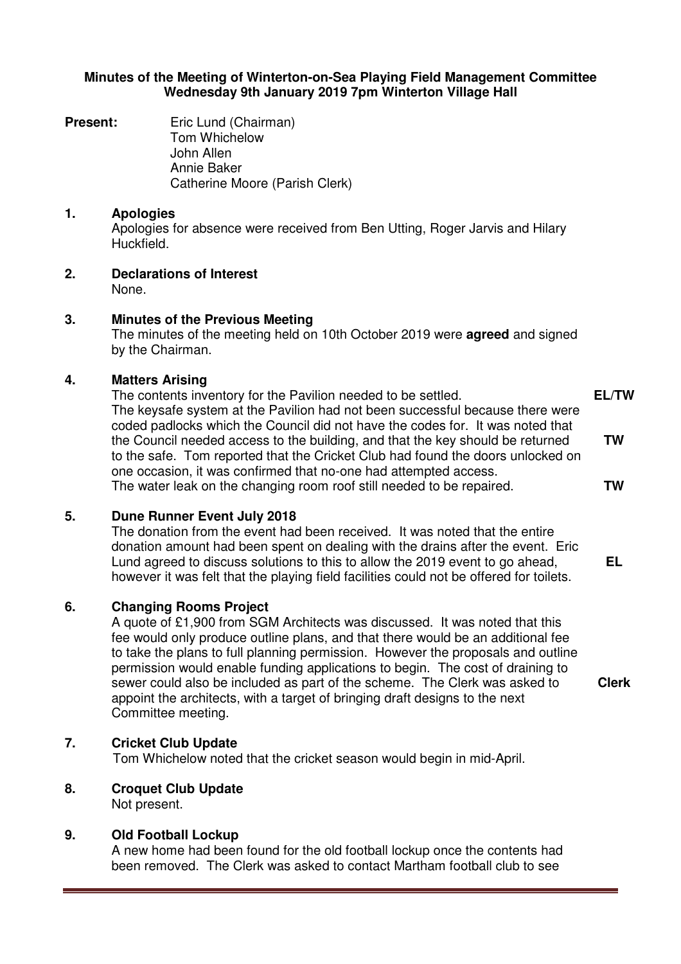#### **Minutes of the Meeting of Winterton-on-Sea Playing Field Management Committee Wednesday 9th January 2019 7pm Winterton Village Hall**

**Present: Eric Lund (Chairman)** Tom Whichelow John Allen Annie Baker Catherine Moore (Parish Clerk)

#### **1. Apologies**

Apologies for absence were received from Ben Utting, Roger Jarvis and Hilary Huckfield.

**2. Declarations of Interest** None.

# **3. Minutes of the Previous Meeting**

The minutes of the meeting held on 10th October 2019 were **agreed** and signed by the Chairman.

#### **4. Matters Arising**

The contents inventory for the Pavilion needed to be settled. The keysafe system at the Pavilion had not been successful because there were coded padlocks which the Council did not have the codes for. It was noted that the Council needed access to the building, and that the key should be returned to the safe. Tom reported that the Cricket Club had found the doors unlocked on one occasion, it was confirmed that no-one had attempted access. The water leak on the changing room roof still needed to be repaired. **EL/TW TW TW** 

#### **5. Dune Runner Event July 2018**

The donation from the event had been received. It was noted that the entire donation amount had been spent on dealing with the drains after the event. Eric Lund agreed to discuss solutions to this to allow the 2019 event to go ahead, however it was felt that the playing field facilities could not be offered for toilets.

**EL** 

**Clerk** 

## **6. Changing Rooms Project**

A quote of £1,900 from SGM Architects was discussed. It was noted that this fee would only produce outline plans, and that there would be an additional fee to take the plans to full planning permission. However the proposals and outline permission would enable funding applications to begin. The cost of draining to sewer could also be included as part of the scheme. The Clerk was asked to appoint the architects, with a target of bringing draft designs to the next Committee meeting.

## **7. Cricket Club Update**

Tom Whichelow noted that the cricket season would begin in mid-April.

**8. Croquet Club Update**

Not present.

## **9. Old Football Lockup**

A new home had been found for the old football lockup once the contents had been removed. The Clerk was asked to contact Martham football club to see